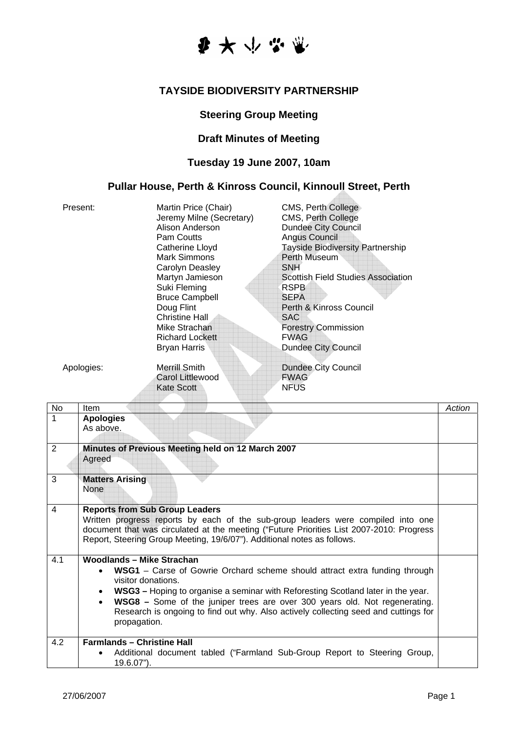

#### **TAYSIDE BIODIVERSITY PARTNERSHIP**

# **Steering Group Meeting**

# **Draft Minutes of Meeting**

# **Tuesday 19 June 2007, 10am**

### **Pullar House, Perth & Kinross Council, Kinnoull Street, Perth**

| Present:             | Martin Price (Chair)<br>Jeremy Milne (Secretary)<br>Alison Anderson<br><b>Pam Coutts</b><br>Catherine Lloyd<br>Mark Simmons<br>Carolyn Deasley<br>Martyn Jamieson<br>Suki Fleming<br><b>Bruce Campbell</b><br>Doug Flint<br>Christine Hall<br>Mike Strachan<br><b>Richard Lockett</b><br>Bryan Harris | <b>CMS, Perth College</b><br>CMS, Perth College<br><b>Dundee City Council</b><br>Angus Council<br><b>Tayside Biodiversity Partnership</b><br>Perth Museum<br><b>SNH</b><br><b>Scottish Field Studies Association</b><br><b>RSPB</b><br><b>SEPA</b><br>Perth & Kinross Council<br><b>SAC</b><br><b>Forestry Commission</b><br><b>FWAG</b><br><b>Dundee City Council</b> |
|----------------------|-------------------------------------------------------------------------------------------------------------------------------------------------------------------------------------------------------------------------------------------------------------------------------------------------------|------------------------------------------------------------------------------------------------------------------------------------------------------------------------------------------------------------------------------------------------------------------------------------------------------------------------------------------------------------------------|
| Apologies:<br>$\sim$ | Merrill Smith<br>Carol Littlewood<br>Kate Scott                                                                                                                                                                                                                                                       | Dundee City Council<br><b>FWAG</b><br><b>NFUS</b>                                                                                                                                                                                                                                                                                                                      |

| 1<br><b>Apologies</b><br>As above.<br>Minutes of Previous Meeting held on 12 March 2007<br>2<br>Agreed<br>3<br><b>Matters Arising</b><br><b>None</b><br>4<br><b>Reports from Sub Group Leaders</b><br>Written progress reports by each of the sub-group leaders were compiled into one<br>document that was circulated at the meeting ("Future Priorities List 2007-2010: Progress<br>Report, Steering Group Meeting, 19/6/07"). Additional notes as follows.<br>Woodlands - Mike Strachan<br>4.1<br><b>WSG1</b> – Carse of Gowrie Orchard scheme should attract extra funding through<br>visitor donations.<br>WSG3 – Hoping to organise a seminar with Reforesting Scotland later in the year.<br>$\bullet$<br><b>WSG8</b> – Some of the juniper trees are over 300 years old. Not regenerating.<br>$\bullet$<br>Research is ongoing to find out why. Also actively collecting seed and cuttings for<br>propagation.<br><b>Farmlands - Christine Hall</b><br>4.2<br>Additional document tabled ("Farmland Sub-Group Report to Steering Group,<br>19.6.07"). | <b>No</b> | Item | Action |
|---------------------------------------------------------------------------------------------------------------------------------------------------------------------------------------------------------------------------------------------------------------------------------------------------------------------------------------------------------------------------------------------------------------------------------------------------------------------------------------------------------------------------------------------------------------------------------------------------------------------------------------------------------------------------------------------------------------------------------------------------------------------------------------------------------------------------------------------------------------------------------------------------------------------------------------------------------------------------------------------------------------------------------------------------------------|-----------|------|--------|
|                                                                                                                                                                                                                                                                                                                                                                                                                                                                                                                                                                                                                                                                                                                                                                                                                                                                                                                                                                                                                                                               |           |      |        |
|                                                                                                                                                                                                                                                                                                                                                                                                                                                                                                                                                                                                                                                                                                                                                                                                                                                                                                                                                                                                                                                               |           |      |        |
|                                                                                                                                                                                                                                                                                                                                                                                                                                                                                                                                                                                                                                                                                                                                                                                                                                                                                                                                                                                                                                                               |           |      |        |
|                                                                                                                                                                                                                                                                                                                                                                                                                                                                                                                                                                                                                                                                                                                                                                                                                                                                                                                                                                                                                                                               |           |      |        |
|                                                                                                                                                                                                                                                                                                                                                                                                                                                                                                                                                                                                                                                                                                                                                                                                                                                                                                                                                                                                                                                               |           |      |        |
|                                                                                                                                                                                                                                                                                                                                                                                                                                                                                                                                                                                                                                                                                                                                                                                                                                                                                                                                                                                                                                                               |           |      |        |
|                                                                                                                                                                                                                                                                                                                                                                                                                                                                                                                                                                                                                                                                                                                                                                                                                                                                                                                                                                                                                                                               |           |      |        |
|                                                                                                                                                                                                                                                                                                                                                                                                                                                                                                                                                                                                                                                                                                                                                                                                                                                                                                                                                                                                                                                               |           |      |        |
|                                                                                                                                                                                                                                                                                                                                                                                                                                                                                                                                                                                                                                                                                                                                                                                                                                                                                                                                                                                                                                                               |           |      |        |
|                                                                                                                                                                                                                                                                                                                                                                                                                                                                                                                                                                                                                                                                                                                                                                                                                                                                                                                                                                                                                                                               |           |      |        |
|                                                                                                                                                                                                                                                                                                                                                                                                                                                                                                                                                                                                                                                                                                                                                                                                                                                                                                                                                                                                                                                               |           |      |        |
|                                                                                                                                                                                                                                                                                                                                                                                                                                                                                                                                                                                                                                                                                                                                                                                                                                                                                                                                                                                                                                                               |           |      |        |
|                                                                                                                                                                                                                                                                                                                                                                                                                                                                                                                                                                                                                                                                                                                                                                                                                                                                                                                                                                                                                                                               |           |      |        |
|                                                                                                                                                                                                                                                                                                                                                                                                                                                                                                                                                                                                                                                                                                                                                                                                                                                                                                                                                                                                                                                               |           |      |        |
|                                                                                                                                                                                                                                                                                                                                                                                                                                                                                                                                                                                                                                                                                                                                                                                                                                                                                                                                                                                                                                                               |           |      |        |
|                                                                                                                                                                                                                                                                                                                                                                                                                                                                                                                                                                                                                                                                                                                                                                                                                                                                                                                                                                                                                                                               |           |      |        |
|                                                                                                                                                                                                                                                                                                                                                                                                                                                                                                                                                                                                                                                                                                                                                                                                                                                                                                                                                                                                                                                               |           |      |        |
|                                                                                                                                                                                                                                                                                                                                                                                                                                                                                                                                                                                                                                                                                                                                                                                                                                                                                                                                                                                                                                                               |           |      |        |
|                                                                                                                                                                                                                                                                                                                                                                                                                                                                                                                                                                                                                                                                                                                                                                                                                                                                                                                                                                                                                                                               |           |      |        |
|                                                                                                                                                                                                                                                                                                                                                                                                                                                                                                                                                                                                                                                                                                                                                                                                                                                                                                                                                                                                                                                               |           |      |        |
|                                                                                                                                                                                                                                                                                                                                                                                                                                                                                                                                                                                                                                                                                                                                                                                                                                                                                                                                                                                                                                                               |           |      |        |

 $\mathcal{L}_{\mathcal{A}}$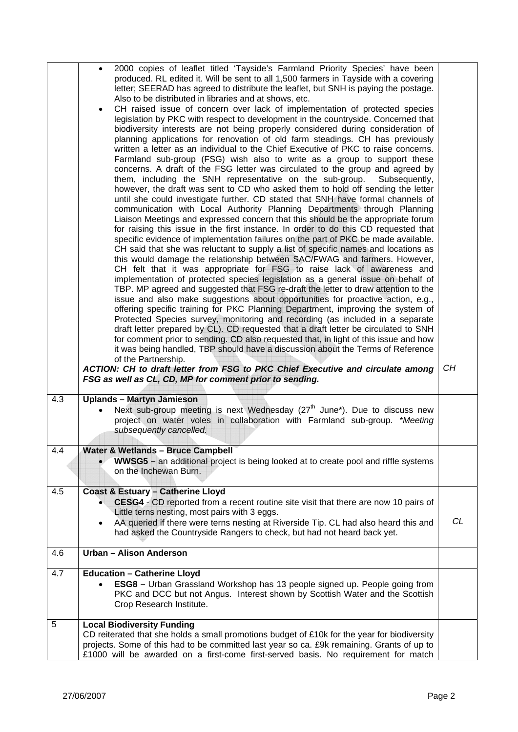|     | 2000 copies of leaflet titled 'Tayside's Farmland Priority Species' have been<br>$\bullet$<br>produced. RL edited it. Will be sent to all 1,500 farmers in Tayside with a covering<br>letter; SEERAD has agreed to distribute the leaflet, but SNH is paying the postage.<br>Also to be distributed in libraries and at shows, etc.<br>CH raised issue of concern over lack of implementation of protected species<br>$\bullet$<br>legislation by PKC with respect to development in the countryside. Concerned that<br>biodiversity interests are not being properly considered during consideration of<br>planning applications for renovation of old farm steadings. CH has previously<br>written a letter as an individual to the Chief Executive of PKC to raise concerns.<br>Farmland sub-group (FSG) wish also to write as a group to support these<br>concerns. A draft of the FSG letter was circulated to the group and agreed by<br>them, including the SNH representative on the sub-group.<br>Subsequently,<br>however, the draft was sent to CD who asked them to hold off sending the letter<br>until she could investigate further. CD stated that SNH have formal channels of<br>communication with Local Authority Planning Departments through Planning<br>Liaison Meetings and expressed concern that this should be the appropriate forum<br>for raising this issue in the first instance. In order to do this CD requested that<br>specific evidence of implementation failures on the part of PKC be made available.<br>CH said that she was reluctant to supply a list of specific names and locations as<br>this would damage the relationship between SAC/FWAG and farmers. However,<br>CH felt that it was appropriate for FSG to raise lack of awareness and<br>implementation of protected species legislation as a general issue on behalf of<br>TBP. MP agreed and suggested that FSG re-draft the letter to draw attention to the<br>issue and also make suggestions about opportunities for proactive action, e.g.,<br>offering specific training for PKC Planning Department, improving the system of<br>Protected Species survey, monitoring and recording (as included in a separate<br>draft letter prepared by CL). CD requested that a draft letter be circulated to SNH<br>for comment prior to sending. CD also requested that, in light of this issue and how<br>it was being handled, TBP should have a discussion about the Terms of Reference |    |
|-----|--------------------------------------------------------------------------------------------------------------------------------------------------------------------------------------------------------------------------------------------------------------------------------------------------------------------------------------------------------------------------------------------------------------------------------------------------------------------------------------------------------------------------------------------------------------------------------------------------------------------------------------------------------------------------------------------------------------------------------------------------------------------------------------------------------------------------------------------------------------------------------------------------------------------------------------------------------------------------------------------------------------------------------------------------------------------------------------------------------------------------------------------------------------------------------------------------------------------------------------------------------------------------------------------------------------------------------------------------------------------------------------------------------------------------------------------------------------------------------------------------------------------------------------------------------------------------------------------------------------------------------------------------------------------------------------------------------------------------------------------------------------------------------------------------------------------------------------------------------------------------------------------------------------------------------------------------------------------------------------------------------------------------------------------------------------------------------------------------------------------------------------------------------------------------------------------------------------------------------------------------------------------------------------------------------------------------------------------------------------------------------------------------------------------------------------------------------------------------------------------|----|
|     | of the Partnership.<br>ACTION: CH to draft letter from FSG to PKC Chief Executive and circulate among<br>FSG as well as CL, CD, MP for comment prior to sending.                                                                                                                                                                                                                                                                                                                                                                                                                                                                                                                                                                                                                                                                                                                                                                                                                                                                                                                                                                                                                                                                                                                                                                                                                                                                                                                                                                                                                                                                                                                                                                                                                                                                                                                                                                                                                                                                                                                                                                                                                                                                                                                                                                                                                                                                                                                           | CH |
| 4.3 | <b>Uplands - Martyn Jamieson</b><br>Next sub-group meeting is next Wednesday (27 <sup>th</sup> June*). Due to discuss new<br>project on water voles in collaboration with Farmland sub-group. *Meeting<br>subsequently cancelled.                                                                                                                                                                                                                                                                                                                                                                                                                                                                                                                                                                                                                                                                                                                                                                                                                                                                                                                                                                                                                                                                                                                                                                                                                                                                                                                                                                                                                                                                                                                                                                                                                                                                                                                                                                                                                                                                                                                                                                                                                                                                                                                                                                                                                                                          |    |
| 4.4 | <b>Water &amp; Wetlands - Bruce Campbell</b><br><b>WWSG5</b> – an additional project is being looked at to create pool and riffle systems<br>on the Inchewan Burn.                                                                                                                                                                                                                                                                                                                                                                                                                                                                                                                                                                                                                                                                                                                                                                                                                                                                                                                                                                                                                                                                                                                                                                                                                                                                                                                                                                                                                                                                                                                                                                                                                                                                                                                                                                                                                                                                                                                                                                                                                                                                                                                                                                                                                                                                                                                         |    |
| 4.5 | <b>Coast &amp; Estuary - Catherine Lloyd</b><br>CESG4 - CD reported from a recent routine site visit that there are now 10 pairs of<br>Little terns nesting, most pairs with 3 eggs.<br>AA queried if there were terns nesting at Riverside Tip. CL had also heard this and<br>$\bullet$<br>had asked the Countryside Rangers to check, but had not heard back yet.                                                                                                                                                                                                                                                                                                                                                                                                                                                                                                                                                                                                                                                                                                                                                                                                                                                                                                                                                                                                                                                                                                                                                                                                                                                                                                                                                                                                                                                                                                                                                                                                                                                                                                                                                                                                                                                                                                                                                                                                                                                                                                                        | CL |
| 4.6 | Urban - Alison Anderson                                                                                                                                                                                                                                                                                                                                                                                                                                                                                                                                                                                                                                                                                                                                                                                                                                                                                                                                                                                                                                                                                                                                                                                                                                                                                                                                                                                                                                                                                                                                                                                                                                                                                                                                                                                                                                                                                                                                                                                                                                                                                                                                                                                                                                                                                                                                                                                                                                                                    |    |
| 4.7 | <b>Education - Catherine Lloyd</b><br><b>ESG8</b> - Urban Grassland Workshop has 13 people signed up. People going from<br>PKC and DCC but not Angus. Interest shown by Scottish Water and the Scottish<br>Crop Research Institute.                                                                                                                                                                                                                                                                                                                                                                                                                                                                                                                                                                                                                                                                                                                                                                                                                                                                                                                                                                                                                                                                                                                                                                                                                                                                                                                                                                                                                                                                                                                                                                                                                                                                                                                                                                                                                                                                                                                                                                                                                                                                                                                                                                                                                                                        |    |
| 5   | <b>Local Biodiversity Funding</b><br>CD reiterated that she holds a small promotions budget of £10k for the year for biodiversity<br>projects. Some of this had to be committed last year so ca. £9k remaining. Grants of up to<br>£1000 will be awarded on a first-come first-served basis. No requirement for match                                                                                                                                                                                                                                                                                                                                                                                                                                                                                                                                                                                                                                                                                                                                                                                                                                                                                                                                                                                                                                                                                                                                                                                                                                                                                                                                                                                                                                                                                                                                                                                                                                                                                                                                                                                                                                                                                                                                                                                                                                                                                                                                                                      |    |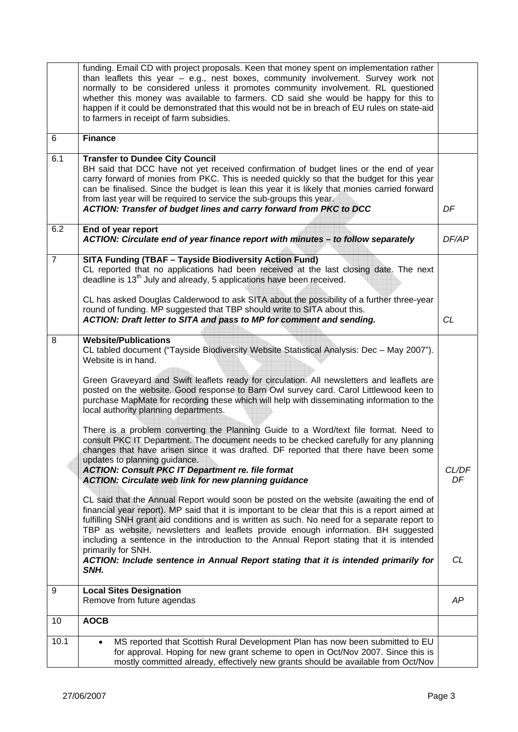|                | funding. Email CD with project proposals. Keen that money spent on implementation rather<br>than leaflets this year $-$ e.g., nest boxes, community involvement. Survey work not<br>normally to be considered unless it promotes community involvement. RL questioned<br>whether this money was available to farmers. CD said she would be happy for this to<br>happen if it could be demonstrated that this would not be in breach of EU rules on state-aid<br>to farmers in receipt of farm subsidies. |              |
|----------------|----------------------------------------------------------------------------------------------------------------------------------------------------------------------------------------------------------------------------------------------------------------------------------------------------------------------------------------------------------------------------------------------------------------------------------------------------------------------------------------------------------|--------------|
| 6              | <b>Finance</b>                                                                                                                                                                                                                                                                                                                                                                                                                                                                                           |              |
| 6.1            | <b>Transfer to Dundee City Council</b><br>BH said that DCC have not yet received confirmation of budget lines or the end of year<br>carry forward of monies from PKC. This is needed quickly so that the budget for this year<br>can be finalised. Since the budget is lean this year it is likely that monies carried forward<br>from last year will be required to service the sub-groups this year.<br><b>ACTION: Transfer of budget lines and carry forward from PKC to DCC</b>                      | DF           |
| 6.2            | End of year report<br>ACTION: Circulate end of year finance report with minutes - to follow separately                                                                                                                                                                                                                                                                                                                                                                                                   | <b>DF/AP</b> |
| $\overline{7}$ | <b>SITA Funding (TBAF - Tayside Biodiversity Action Fund)</b><br>CL reported that no applications had been received at the last closing date. The next<br>deadline is 13 <sup>th</sup> July and already, 5 applications have been received.                                                                                                                                                                                                                                                              |              |
|                | CL has asked Douglas Calderwood to ask SITA about the possibility of a further three-year<br>round of funding. MP suggested that TBP should write to SITA about this.<br>ACTION: Draft letter to SITA and pass to MP for comment and sending.                                                                                                                                                                                                                                                            | CL           |
| 8              | <b>Website/Publications</b><br>CL tabled document ("Tayside Biodiversity Website Statistical Analysis: Dec - May 2007").<br>Website is in hand.                                                                                                                                                                                                                                                                                                                                                          |              |
|                | Green Graveyard and Swift leaflets ready for circulation. All newsletters and leaflets are<br>posted on the website. Good response to Barn Owl survey card. Carol Littlewood keen to<br>purchase MapMate for recording these which will help with disseminating information to the<br>local authority planning departments.                                                                                                                                                                              |              |
|                | There is a problem converting the Planning Guide to a Word/text file format. Need to<br>consult PKC IT Department. The document needs to be checked carefully for any planning<br>changes that have arisen since it was drafted. DF reported that there have been some<br>updates to planning guidance.<br><b>ACTION: Consult PKC IT Department re. file format</b><br><b>ACTION: Circulate web link for new planning guidance</b>                                                                       | CL/DF<br>DF  |
|                | CL said that the Annual Report would soon be posted on the website (awaiting the end of<br>financial year report). MP said that it is important to be clear that this is a report aimed at<br>fulfilling SNH grant aid conditions and is written as such. No need for a separate report to<br>TBP as website, newsletters and leaflets provide enough information. BH suggested<br>including a sentence in the introduction to the Annual Report stating that it is intended<br>primarily for SNH.       |              |
|                | ACTION: Include sentence in Annual Report stating that it is intended primarily for<br>SNH.                                                                                                                                                                                                                                                                                                                                                                                                              | CL           |
| 9              | <b>Local Sites Designation</b><br>Remove from future agendas                                                                                                                                                                                                                                                                                                                                                                                                                                             | AP           |
| 10             | <b>AOCB</b>                                                                                                                                                                                                                                                                                                                                                                                                                                                                                              |              |
| 10.1           | MS reported that Scottish Rural Development Plan has now been submitted to EU<br>$\bullet$<br>for approval. Hoping for new grant scheme to open in Oct/Nov 2007. Since this is<br>mostly committed already, effectively new grants should be available from Oct/Nov                                                                                                                                                                                                                                      |              |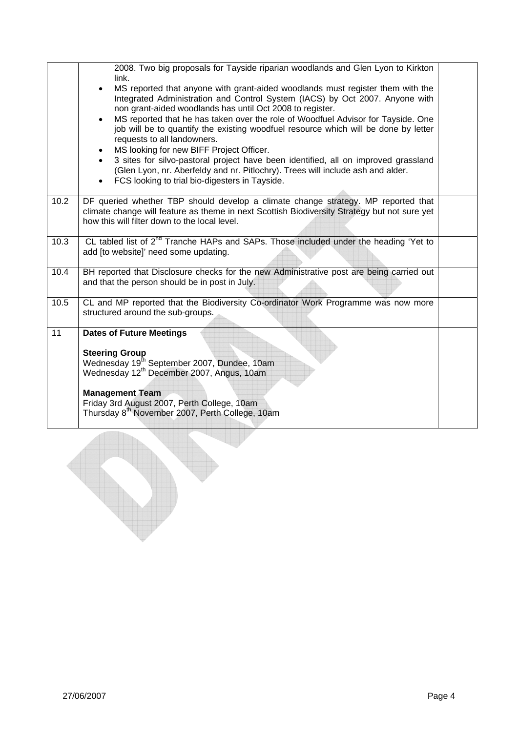|      | 2008. Two big proposals for Tayside riparian woodlands and Glen Lyon to Kirkton<br>link.<br>MS reported that anyone with grant-aided woodlands must register them with the<br>$\bullet$<br>Integrated Administration and Control System (IACS) by Oct 2007. Anyone with<br>non grant-aided woodlands has until Oct 2008 to register.<br>MS reported that he has taken over the role of Woodfuel Advisor for Tayside. One<br>job will be to quantify the existing woodfuel resource which will be done by letter<br>requests to all landowners.<br>MS looking for new BIFF Project Officer.<br>3 sites for silvo-pastoral project have been identified, all on improved grassland<br>(Glen Lyon, nr. Aberfeldy and nr. Pitlochry). Trees will include ash and alder.<br>FCS looking to trial bio-digesters in Tayside. |  |  |  |  |  |  |  |
|------|-----------------------------------------------------------------------------------------------------------------------------------------------------------------------------------------------------------------------------------------------------------------------------------------------------------------------------------------------------------------------------------------------------------------------------------------------------------------------------------------------------------------------------------------------------------------------------------------------------------------------------------------------------------------------------------------------------------------------------------------------------------------------------------------------------------------------|--|--|--|--|--|--|--|
| 10.2 | DF queried whether TBP should develop a climate change strategy. MP reported that<br>climate change will feature as theme in next Scottish Biodiversity Strategy but not sure yet<br>how this will filter down to the local level.                                                                                                                                                                                                                                                                                                                                                                                                                                                                                                                                                                                    |  |  |  |  |  |  |  |
| 10.3 | CL tabled list of 2 <sup>nd</sup> Tranche HAPs and SAPs. Those included under the heading 'Yet to<br>add [to website]' need some updating.                                                                                                                                                                                                                                                                                                                                                                                                                                                                                                                                                                                                                                                                            |  |  |  |  |  |  |  |
| 10.4 | BH reported that Disclosure checks for the new Administrative post are being carried out<br>and that the person should be in post in July.                                                                                                                                                                                                                                                                                                                                                                                                                                                                                                                                                                                                                                                                            |  |  |  |  |  |  |  |
| 10.5 | CL and MP reported that the Biodiversity Co-ordinator Work Programme was now more<br>structured around the sub-groups.                                                                                                                                                                                                                                                                                                                                                                                                                                                                                                                                                                                                                                                                                                |  |  |  |  |  |  |  |
| 11   | <b>Dates of Future Meetings</b><br><b>Steering Group</b><br>Wednesday 19 <sup>th</sup> September 2007, Dundee, 10am<br>Wednesday 12 <sup>th</sup> December 2007, Angus, 10am<br><b>Management Team</b><br>Friday 3rd August 2007, Perth College, 10am<br>Thursday 8 <sup>th</sup> November 2007, Perth College, 10am                                                                                                                                                                                                                                                                                                                                                                                                                                                                                                  |  |  |  |  |  |  |  |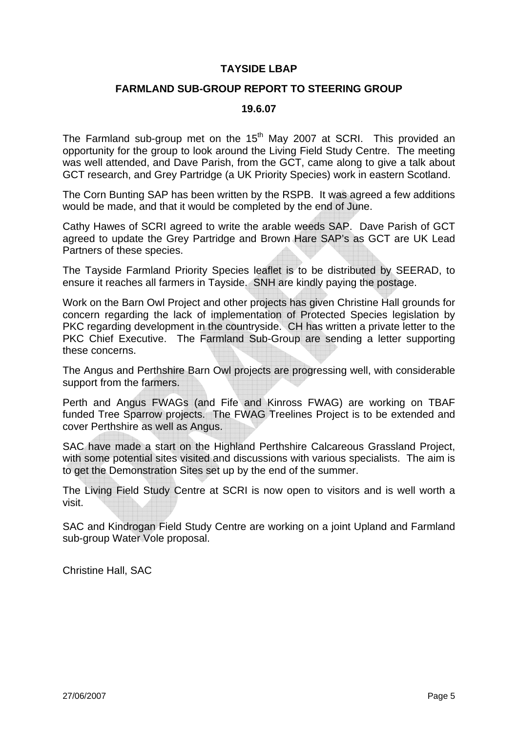#### **TAYSIDE LBAP**

#### **FARMLAND SUB-GROUP REPORT TO STEERING GROUP**

#### **19.6.07**

The Farmland sub-group met on the  $15<sup>th</sup>$  May 2007 at SCRI. This provided an opportunity for the group to look around the Living Field Study Centre. The meeting was well attended, and Dave Parish, from the GCT, came along to give a talk about GCT research, and Grey Partridge (a UK Priority Species) work in eastern Scotland.

The Corn Bunting SAP has been written by the RSPB. It was agreed a few additions would be made, and that it would be completed by the end of June.

Cathy Hawes of SCRI agreed to write the arable weeds SAP. Dave Parish of GCT agreed to update the Grey Partridge and Brown Hare SAP's as GCT are UK Lead Partners of these species.

The Tayside Farmland Priority Species leaflet is to be distributed by SEERAD, to ensure it reaches all farmers in Tayside. SNH are kindly paying the postage.

Work on the Barn Owl Project and other projects has given Christine Hall grounds for concern regarding the lack of implementation of Protected Species legislation by PKC regarding development in the countryside. CH has written a private letter to the PKC Chief Executive. The Farmland Sub-Group are sending a letter supporting these concerns.

The Angus and Perthshire Barn Owl projects are progressing well, with considerable support from the farmers.

Perth and Angus FWAGs (and Fife and Kinross FWAG) are working on TBAF funded Tree Sparrow projects. The FWAG Treelines Project is to be extended and cover Perthshire as well as Angus.

SAC have made a start on the Highland Perthshire Calcareous Grassland Project, with some potential sites visited and discussions with various specialists. The aim is to get the Demonstration Sites set up by the end of the summer.

The Living Field Study Centre at SCRI is now open to visitors and is well worth a visit.

SAC and Kindrogan Field Study Centre are working on a joint Upland and Farmland sub-group Water Vole proposal.

Christine Hall, SAC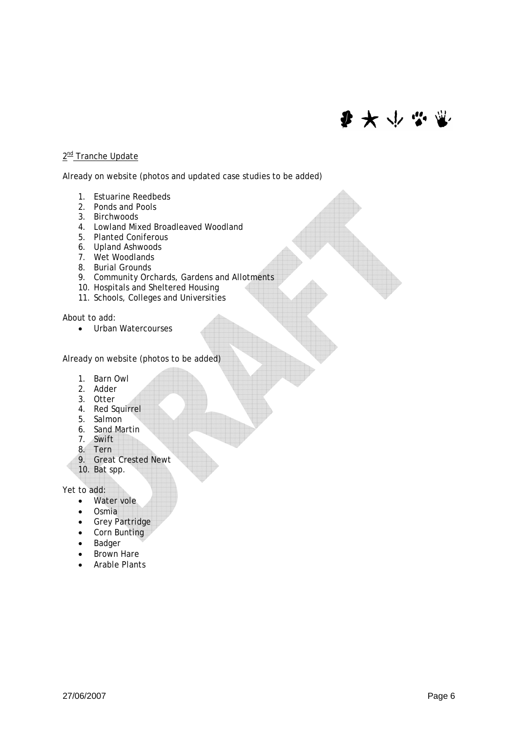# ● 大 → 学 堂

#### 2<sup>nd</sup> Tranche Update

Already on website (photos and updated case studies to be added)

- 1. Estuarine Reedbeds
- 2. Ponds and Pools
- 3. Birchwoods
- 4. Lowland Mixed Broadleaved Woodland
- 5. Planted Coniferous
- 6. Upland Ashwoods
- 7. Wet Woodlands
- 8. Burial Grounds
- 9. Community Orchards, Gardens and Allotments
- 10. Hospitals and Sheltered Housing
- 11. Schools, Colleges and Universities

About to add:

• Urban Watercourses

Already on website (photos to be added)

- 1. Barn Owl
- 2. Adder
- 3. Otter
- 4. Red Squirrel
- 5. Salmon
- 6. Sand Martin
- 7. Swift
- 8. Tern
- 9. Great Crested Newt 10. Bat spp.

Yet to add:

- Water vole
- Osmia
- Grey Partridge
- Corn Bunting
- Badger
- Brown Hare
- Arable Plants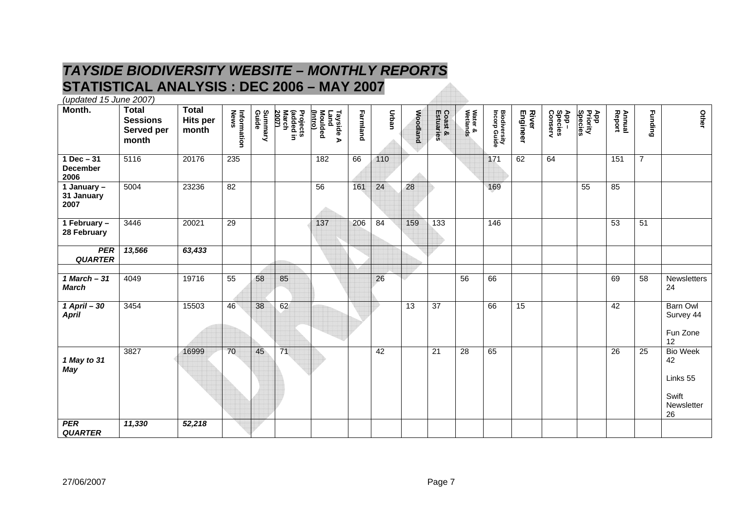# *TAYSIDE BIODIVERSITY WEBSITE – MONTHLY REPORTS*  **STATISTICAL ANALYSIS : DEC 2006 – MAY 2007**

*(updated 15 June 2007)* 

| Month.                                  | <b>Total</b><br><b>Sessions</b><br>Served per<br>month | <b>Total</b><br><b>Hits per</b><br>month | Information<br>News | Summary<br>Guide | Projects<br>(added in<br>March<br>2007) | <u>(Intro)</u><br>Tayside A<br>Land<br>Moulded | Farmland | <b>Urban</b> | <b>Woodland</b> | <b>Coast &amp;<br/>Estuaries</b> | Water &<br>Wetlands | <b>Biodiversity</b><br>Incorp Guide | River<br>Engineer | App –<br>Species<br>Conserv | App<br>Priority<br>Species | Annual<br>Report | <b>Funding</b> | Other                                                          |
|-----------------------------------------|--------------------------------------------------------|------------------------------------------|---------------------|------------------|-----------------------------------------|------------------------------------------------|----------|--------------|-----------------|----------------------------------|---------------------|-------------------------------------|-------------------|-----------------------------|----------------------------|------------------|----------------|----------------------------------------------------------------|
| $1 Dec - 31$<br><b>December</b><br>2006 | 5116                                                   | 20176                                    | 235                 |                  |                                         | 182                                            | 66       | 110          |                 |                                  |                     | 171                                 | 62                | 64                          |                            | 151              | $\overline{7}$ |                                                                |
| 1 January -<br>31 January<br>2007       | 5004                                                   | 23236                                    | $\overline{82}$     |                  |                                         | 56                                             | 161      | 24           | 28              |                                  |                     | 169                                 |                   |                             | 55                         | 85               |                |                                                                |
| 1 February -<br>28 February             | 3446                                                   | 20021                                    | $\overline{29}$     |                  |                                         | 137                                            | 206      | 84           | 159             | 133                              |                     | 146                                 |                   |                             |                            | 53               | 51             |                                                                |
| <b>PER</b><br><b>QUARTER</b>            | 13,566                                                 | 63,433                                   |                     |                  |                                         |                                                |          |              |                 |                                  |                     |                                     |                   |                             |                            |                  |                |                                                                |
| $1$ March $-31$<br><b>March</b>         | 4049                                                   | 19716                                    | $\overline{55}$     | 58               | 85                                      |                                                |          | 26           |                 |                                  | 56                  | 66                                  |                   |                             |                            | 69               | 58             | Newsletters<br>24                                              |
| $1$ April $-30$<br><b>April</b>         | 3454                                                   | 15503                                    | 46                  | 38               | 62                                      |                                                |          |              | $\overline{13}$ | 37                               |                     | 66                                  | 15                |                             |                            | 42               |                | Barn Owl<br>Survey 44<br>Fun Zone<br>12                        |
| 1 May to 31<br><b>May</b>               | 3827                                                   | 16999                                    | 70                  | 45               | 71                                      |                                                |          | 42           |                 | $\overline{21}$                  | 28                  | 65                                  |                   |                             |                            | $\overline{26}$  | 25             | <b>Bio Week</b><br>42<br>Links 55<br>Swift<br>Newsletter<br>26 |
| <b>PER</b><br><b>QUARTER</b>            | 11,330                                                 | 52,218                                   |                     |                  |                                         |                                                |          |              |                 |                                  |                     |                                     |                   |                             |                            |                  |                |                                                                |